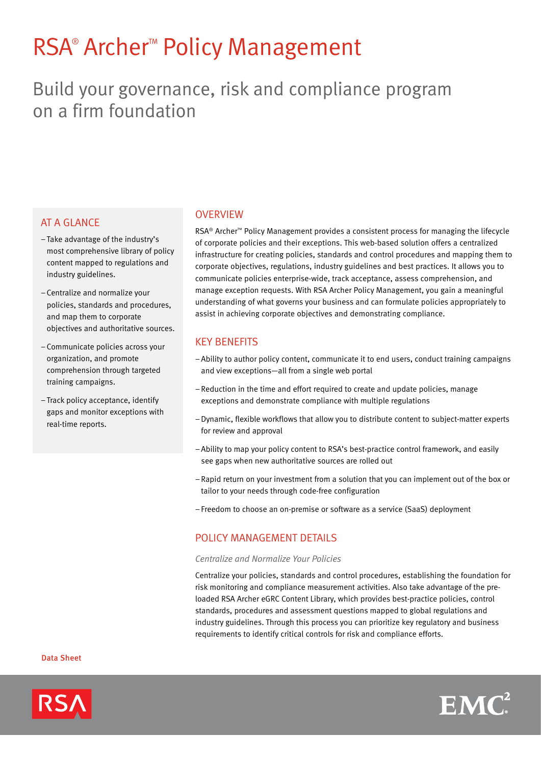# RSA<sup>®</sup> Archer<sup>™</sup> Policy Management

# Build your governance, risk and compliance program on a firm foundation

# **AT A GLANCE**

- –Take advantage of the industry's most comprehensive library of policy content mapped to regulations and industry guidelines.
- Centralize and normalize your policies, standards and procedures, and map them to corporate objectives and authoritative sources.
- Communicate policies across your organization, and promote comprehension through targeted training campaigns.
- –Track policy acceptance, identify gaps and monitor exceptions with real-time reports.

### **OVERVIEW**

RSA® Archer™ Policy Management provides a consistent process for managing the lifecycle of corporate policies and their exceptions. This web-based solution offers a centralized infrastructure for creating policies, standards and control procedures and mapping them to corporate objectives, regulations, industry guidelines and best practices. It allows you to communicate policies enterprise-wide, track acceptance, assess comprehension, and manage exception requests. With RSA Archer Policy Management, you gain a meaningful understanding of what governs your business and can formulate policies appropriately to assist in achieving corporate objectives and demonstrating compliance.

# Key Benefits

- –Ability to author policy content, communicate it to end users, conduct training campaigns and view exceptions—all from a single web portal
- –Reduction in the time and effort required to create and update policies, manage exceptions and demonstrate compliance with multiple regulations
- –Dynamic, flexible workflows that allow you to distribute content to subject-matter experts for review and approval
- –Ability to map your policy content to RSA's best-practice control framework, and easily see gaps when new authoritative sources are rolled out
- –Rapid return on your investment from a solution that you can implement out of the box or tailor to your needs through code-free configuration
- Freedom to choose an on-premise or software as a service (SaaS) deployment

## POLICY MANAGEMENT DETAILS

#### *Centralize and Normalize Your Policies*

Centralize your policies, standards and control procedures, establishing the foundation for risk monitoring and compliance measurement activities. Also take advantage of the preloaded RSA Archer eGRC Content Library, which provides best-practice policies, control standards, procedures and assessment questions mapped to global regulations and industry guidelines. Through this process you can prioritize key regulatory and business requirements to identify critical controls for risk and compliance efforts.

Data Sheet